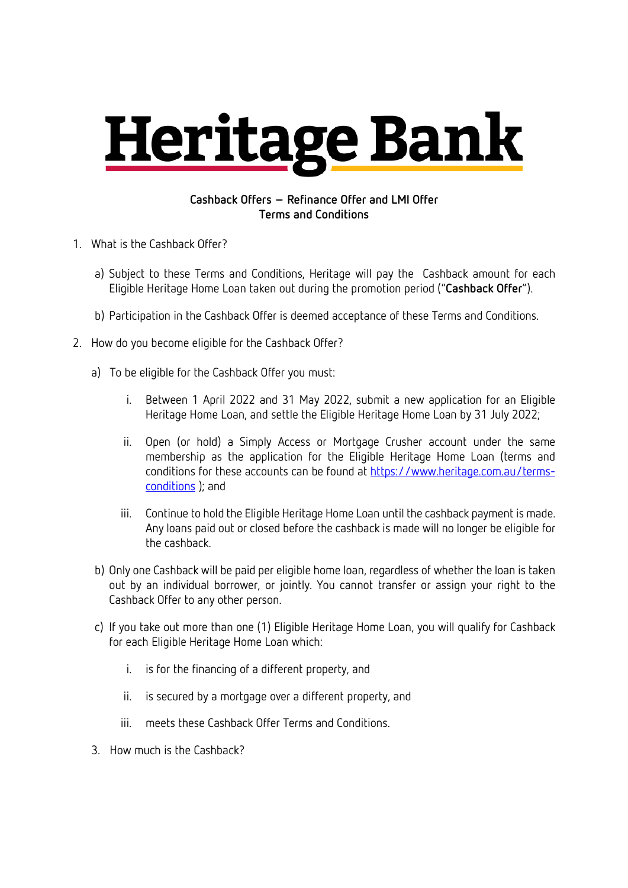## **Heritage Bank**

## **Cashback Offers – Refinance Offer and LMI Offer Terms and Conditions**

- 1. What is the Cashback Offer?
	- a) Subject to these Terms and Conditions, Heritage will pay the Cashback amount for each Eligible Heritage Home Loan taken out during the promotion period ("**Cashback Offer**").
	- b) Participation in the Cashback Offer is deemed acceptance of these Terms and Conditions.
- 2. How do you become eligible for the Cashback Offer?
	- a) To be eligible for the Cashback Offer you must:
		- i. Between 1 April 2022 and 31 May 2022, submit a new application for an Eligible Heritage Home Loan, and settle the Eligible Heritage Home Loan by 31 July 2022;
		- ii. Open (or hold) a Simply Access or Mortgage Crusher account under the same membership as the application for the Eligible Heritage Home Loan (terms and conditions for these accounts can be found at https://www.heritage.com.au/termsconditions ); and
		- iii. Continue to hold the Eligible Heritage Home Loan until the cashback payment is made. Any loans paid out or closed before the cashback is made will no longer be eligible for the cashback.
	- b) Only one Cashback will be paid per eligible home loan, regardless of whether the loan is taken out by an individual borrower, or jointly. You cannot transfer or assign your right to the Cashback Offer to any other person.
	- c) If you take out more than one (1) Eligible Heritage Home Loan, you will qualify for Cashback for each Eligible Heritage Home Loan which:
		- i. is for the financing of a different property, and
		- ii. is secured by a mortgage over a different property, and
		- iii. meets these Cashback Offer Terms and Conditions.
	- 3. How much is the Cashback?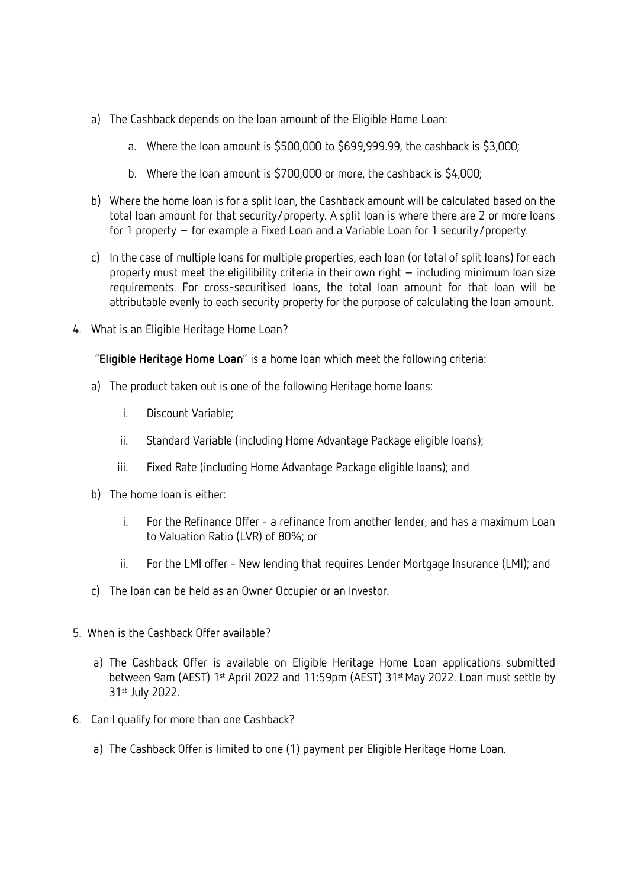- a) The Cashback depends on the loan amount of the Eligible Home Loan:
	- a. Where the loan amount is \$500,000 to \$699,999.99, the cashback is \$3,000;
	- b. Where the loan amount is \$700,000 or more, the cashback is \$4,000;
- b) Where the home loan is for a split loan, the Cashback amount will be calculated based on the total loan amount for that security/property. A split loan is where there are 2 or more loans for 1 property – for example a Fixed Loan and a Variable Loan for 1 security/property.
- c) In the case of multiple loans for multiple properties, each loan (or total of split loans) for each property must meet the eligilibility criteria in their own right – including minimum loan size requirements. For cross-securitised loans, the total loan amount for that loan will be attributable evenly to each security property for the purpose of calculating the loan amount.
- 4. What is an Eligible Heritage Home Loan?

"**Eligible Heritage Home Loan**" is a home loan which meet the following criteria:

- a) The product taken out is one of the following Heritage home loans:
	- i. Discount Variable;
	- ii. Standard Variable (including Home Advantage Package eligible loans);
	- iii. Fixed Rate (including Home Advantage Package eligible loans); and
- b) The home loan is either:
	- i. For the Refinance Offer a refinance from another lender, and has a maximum Loan to Valuation Ratio (LVR) of 80%; or
	- ii. For the LMI offer New lending that requires Lender Mortgage Insurance (LMI); and
- c) The loan can be held as an Owner Occupier or an Investor.
- 5. When is the Cashback Offer available?
	- a) The Cashback Offer is available on Eligible Heritage Home Loan applications submitted between 9am (AEST) 1st April 2022 and 11:59pm (AEST) 31st May 2022. Loan must settle by 31st July 2022.
- 6. Can I qualify for more than one Cashback?
	- a) The Cashback Offer is limited to one (1) payment per Eligible Heritage Home Loan.